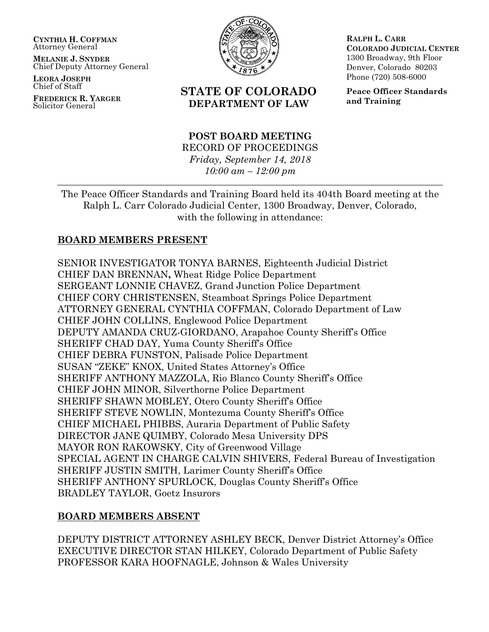**CYNTHIA H. COFFMAN** Attorney General

**MELANIE J. SNYDER** Chief Deputy Attorney General

**LEORA JOSEPH** Chief of Staff

**FREDERICK R. YARGER** Solicitor General



# **STATE OF COLORADO DEPARTMENT OF LAW**

**RALPH L. CARR COLORADO JUDICIAL CENTER** 1300 Broadway, 9th Floor Denver, Colorado 80203 Phone (720) 508-6000

**Peace Officer Standards and Training**

### **POST BOARD MEETING** RECORD OF PROCEEDINGS

*Friday, September 14, 2018 10:00 am – 12:00 pm*

The Peace Officer Standards and Training Board held its 404th Board meeting at the Ralph L. Carr Colorado Judicial Center, 1300 Broadway, Denver, Colorado, with the following in attendance:

## **BOARD MEMBERS PRESENT**

SENIOR INVESTIGATOR TONYA BARNES, Eighteenth Judicial District CHIEF DAN BRENNAN**,** Wheat Ridge Police Department SERGEANT LONNIE CHAVEZ, Grand Junction Police Department CHIEF CORY CHRISTENSEN, Steamboat Springs Police Department ATTORNEY GENERAL CYNTHIA COFFMAN, Colorado Department of Law CHIEF JOHN COLLINS, Englewood Police Department DEPUTY AMANDA CRUZ-GIORDANO, Arapahoe County Sheriff's Office SHERIFF CHAD DAY, Yuma County Sheriff's Office CHIEF DEBRA FUNSTON, Palisade Police Department SUSAN "ZEKE" KNOX, United States Attorney's Office SHERIFF ANTHONY MAZZOLA, Rio Blanco County Sheriff's Office CHIEF JOHN MINOR, Silverthorne Police Department SHERIFF SHAWN MOBLEY, Otero County Sheriff's Office SHERIFF STEVE NOWLIN, Montezuma County Sheriff's Office CHIEF MICHAEL PHIBBS, Auraria Department of Public Safety DIRECTOR JANE QUIMBY, Colorado Mesa University DPS MAYOR RON RAKOWSKY, City of Greenwood Village SPECIAL AGENT IN CHARGE CALVIN SHIVERS, Federal Bureau of Investigation SHERIFF JUSTIN SMITH, Larimer County Sheriff's Office SHERIFF ANTHONY SPURLOCK, Douglas County Sheriff's Office BRADLEY TAYLOR, Goetz Insurors

# **BOARD MEMBERS ABSENT**

DEPUTY DISTRICT ATTORNEY ASHLEY BECK, Denver District Attorney's Office EXECUTIVE DIRECTOR STAN HILKEY, Colorado Department of Public Safety PROFESSOR KARA HOOFNAGLE, Johnson & Wales University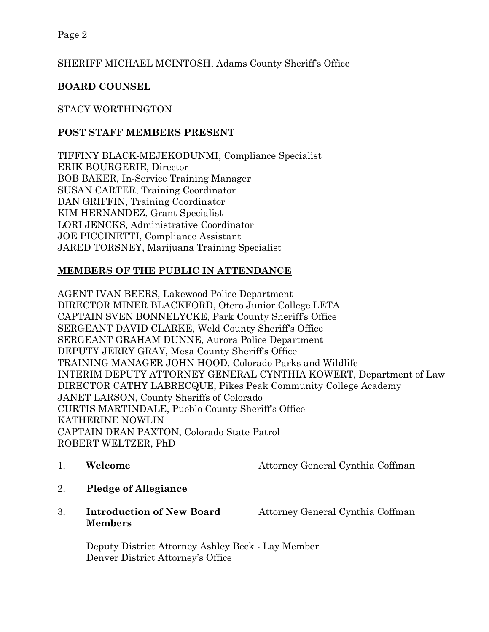# SHERIFF MICHAEL MCINTOSH, Adams County Sheriff's Office

# **BOARD COUNSEL**

## STACY WORTHINGTON

### **POST STAFF MEMBERS PRESENT**

TIFFINY BLACK-MEJEKODUNMI, Compliance Specialist ERIK BOURGERIE, Director BOB BAKER, In-Service Training Manager SUSAN CARTER, Training Coordinator DAN GRIFFIN, Training Coordinator KIM HERNANDEZ, Grant Specialist LORI JENCKS, Administrative Coordinator JOE PICCINETTI, Compliance Assistant JARED TORSNEY, Marijuana Training Specialist

## **MEMBERS OF THE PUBLIC IN ATTENDANCE**

AGENT IVAN BEERS, Lakewood Police Department DIRECTOR MINER BLACKFORD, Otero Junior College LETA CAPTAIN SVEN BONNELYCKE, Park County Sheriff's Office SERGEANT DAVID CLARKE, Weld County Sheriff's Office SERGEANT GRAHAM DUNNE, Aurora Police Department DEPUTY JERRY GRAY, Mesa County Sheriff's Office TRAINING MANAGER JOHN HOOD, Colorado Parks and Wildlife INTERIM DEPUTY ATTORNEY GENERAL CYNTHIA KOWERT, Department of Law DIRECTOR CATHY LABRECQUE, Pikes Peak Community College Academy JANET LARSON, County Sheriffs of Colorado CURTIS MARTINDALE, Pueblo County Sheriff's Office KATHERINE NOWLIN CAPTAIN DEAN PAXTON, Colorado State Patrol ROBERT WELTZER, PhD

- 1. **Welcome** Attorney General Cynthia Coffman
- 2. **Pledge of Allegiance**
- 3. **Introduction of New Board** Attorney General Cynthia Coffman **Members**

Deputy District Attorney Ashley Beck - Lay Member Denver District Attorney's Office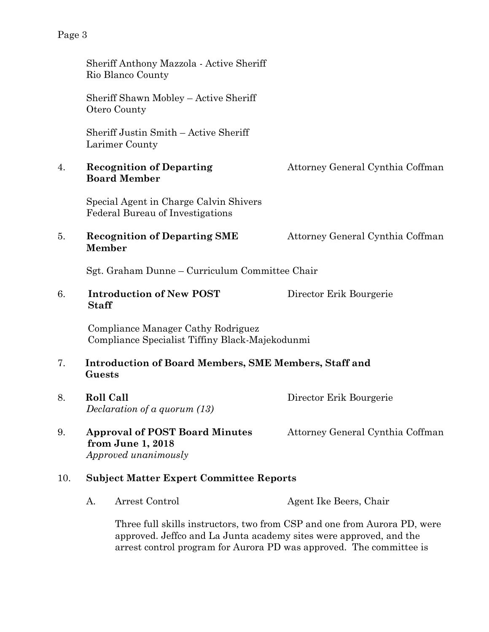|     | Sheriff Anthony Mazzola - Active Sheriff<br>Rio Blanco County                         |                                  |
|-----|---------------------------------------------------------------------------------------|----------------------------------|
|     | Sheriff Shawn Mobley - Active Sheriff<br>Otero County                                 |                                  |
|     | Sheriff Justin Smith - Active Sheriff<br>Larimer County                               |                                  |
| 4.  | <b>Recognition of Departing</b><br><b>Board Member</b>                                | Attorney General Cynthia Coffman |
|     | Special Agent in Charge Calvin Shivers<br><b>Federal Bureau of Investigations</b>     |                                  |
| 5.  | <b>Recognition of Departing SME</b><br><b>Member</b>                                  | Attorney General Cynthia Coffman |
|     | Sgt. Graham Dunne - Curriculum Committee Chair                                        |                                  |
| 6.  | <b>Introduction of New POST</b><br><b>Staff</b>                                       | Director Erik Bourgerie          |
|     | Compliance Manager Cathy Rodriguez<br>Compliance Specialist Tiffiny Black-Majekodunmi |                                  |
| 7.  | <b>Introduction of Board Members, SME Members, Staff and</b><br>Guests                |                                  |
| 8.  | <b>Roll Call</b><br>Declaration of a quorum (13)                                      | Director Erik Bourgerie          |
| 9.  | <b>Approval of POST Board Minutes</b><br>from June 1, 2018<br>Approved unanimously    | Attorney General Cynthia Coffman |
| 10. | <b>Subject Matter Expert Committee Reports</b>                                        |                                  |
|     | Arrest Control<br>А.                                                                  | Agent Ike Beers, Chair           |

Three full skills instructors, two from CSP and one from Aurora PD, were approved. Jeffco and La Junta academy sites were approved, and the arrest control program for Aurora PD was approved. The committee is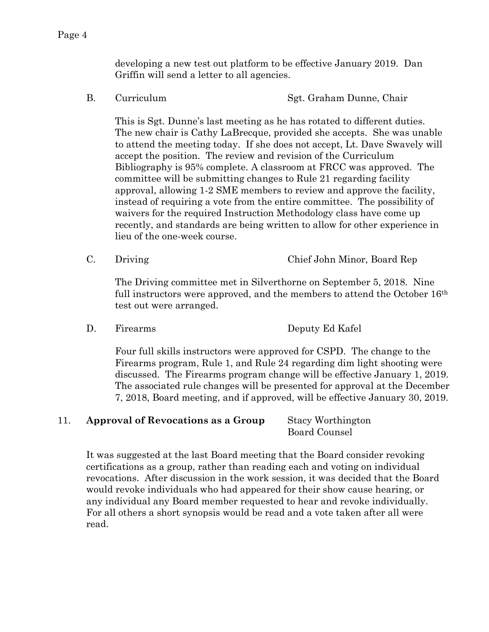developing a new test out platform to be effective January 2019. Dan Griffin will send a letter to all agencies.

B. Curriculum Sgt. Graham Dunne, Chair

This is Sgt. Dunne's last meeting as he has rotated to different duties. The new chair is Cathy LaBrecque, provided she accepts. She was unable to attend the meeting today. If she does not accept, Lt. Dave Swavely will accept the position. The review and revision of the Curriculum Bibliography is 95% complete. A classroom at FRCC was approved. The committee will be submitting changes to Rule 21 regarding facility approval, allowing 1-2 SME members to review and approve the facility, instead of requiring a vote from the entire committee. The possibility of waivers for the required Instruction Methodology class have come up recently, and standards are being written to allow for other experience in lieu of the one-week course.

C. Driving Chief John Minor, Board Rep

The Driving committee met in Silverthorne on September 5, 2018. Nine full instructors were approved, and the members to attend the October 16<sup>th</sup> test out were arranged.

D. Firearms Deputy Ed Kafel

Four full skills instructors were approved for CSPD. The change to the Firearms program, Rule 1, and Rule 24 regarding dim light shooting were discussed. The Firearms program change will be effective January 1, 2019. The associated rule changes will be presented for approval at the December 7, 2018, Board meeting, and if approved, will be effective January 30, 2019.

### 11. **Approval of Revocations as a Group** Stacy Worthington Board Counsel

It was suggested at the last Board meeting that the Board consider revoking certifications as a group, rather than reading each and voting on individual revocations. After discussion in the work session, it was decided that the Board would revoke individuals who had appeared for their show cause hearing, or any individual any Board member requested to hear and revoke individually. For all others a short synopsis would be read and a vote taken after all were read.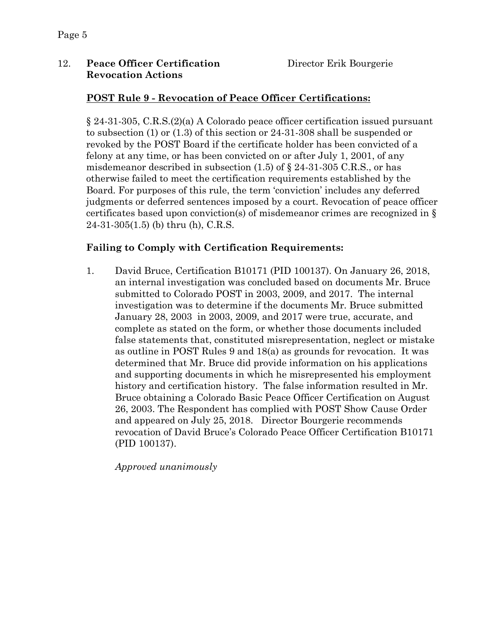### 12. **Peace Officer Certification** Director Erik Bourgerie **Revocation Actions**

### **POST Rule 9 - Revocation of Peace Officer Certifications:**

§ 24-31-305, C.R.S.(2)(a) A Colorado peace officer certification issued pursuant to subsection (1) or (1.3) of this section or 24-31-308 shall be suspended or revoked by the POST Board if the certificate holder has been convicted of a felony at any time, or has been convicted on or after July 1, 2001, of any misdemeanor described in subsection  $(1.5)$  of  $\S$  24-31-305 C.R.S., or has otherwise failed to meet the certification requirements established by the Board. For purposes of this rule, the term 'conviction' includes any deferred judgments or deferred sentences imposed by a court. Revocation of peace officer certificates based upon conviction(s) of misdemeanor crimes are recognized in § 24-31-305(1.5) (b) thru (h), C.R.S.

### **Failing to Comply with Certification Requirements:**

1. David Bruce, Certification B10171 (PID 100137). On January 26, 2018, an internal investigation was concluded based on documents Mr. Bruce submitted to Colorado POST in 2003, 2009, and 2017. The internal investigation was to determine if the documents Mr. Bruce submitted January 28, 2003 in 2003, 2009, and 2017 were true, accurate, and complete as stated on the form, or whether those documents included false statements that, constituted misrepresentation, neglect or mistake as outline in POST Rules 9 and 18(a) as grounds for revocation. It was determined that Mr. Bruce did provide information on his applications and supporting documents in which he misrepresented his employment history and certification history. The false information resulted in Mr. Bruce obtaining a Colorado Basic Peace Officer Certification on August 26, 2003. The Respondent has complied with POST Show Cause Order and appeared on July 25, 2018. Director Bourgerie recommends revocation of David Bruce's Colorado Peace Officer Certification B10171 (PID 100137).

*Approved unanimously*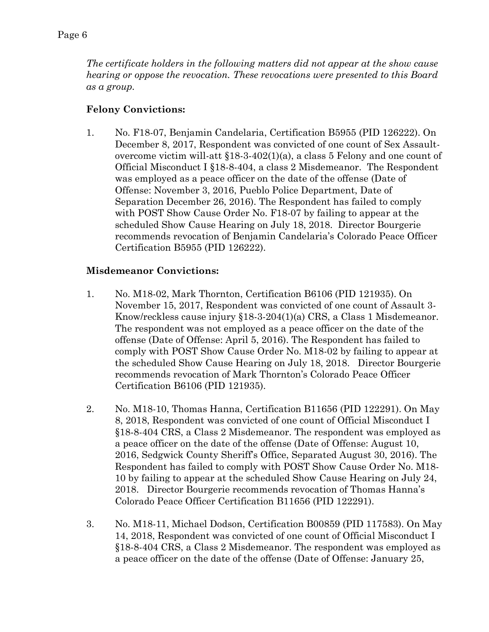*The certificate holders in the following matters did not appear at the show cause hearing or oppose the revocation. These revocations were presented to this Board as a group.*

### **Felony Convictions:**

1. No. F18-07, Benjamin Candelaria, Certification B5955 (PID 126222). On December 8, 2017, Respondent was convicted of one count of Sex Assaultovercome victim will-att  $$18-3-402(1)(a)$ , a class 5 Felony and one count of Official Misconduct I §18-8-404, a class 2 Misdemeanor. The Respondent was employed as a peace officer on the date of the offense (Date of Offense: November 3, 2016, Pueblo Police Department, Date of Separation December 26, 2016). The Respondent has failed to comply with POST Show Cause Order No. F18-07 by failing to appear at the scheduled Show Cause Hearing on July 18, 2018. Director Bourgerie recommends revocation of Benjamin Candelaria's Colorado Peace Officer Certification B5955 (PID 126222).

### **Misdemeanor Convictions:**

- 1. No. M18-02, Mark Thornton, Certification B6106 (PID 121935). On November 15, 2017, Respondent was convicted of one count of Assault 3- Know/reckless cause injury §18-3-204(1)(a) CRS, a Class 1 Misdemeanor. The respondent was not employed as a peace officer on the date of the offense (Date of Offense: April 5, 2016). The Respondent has failed to comply with POST Show Cause Order No. M18-02 by failing to appear at the scheduled Show Cause Hearing on July 18, 2018. Director Bourgerie recommends revocation of Mark Thornton's Colorado Peace Officer Certification B6106 (PID 121935).
- 2. No. M18-10, Thomas Hanna, Certification B11656 (PID 122291). On May 8, 2018, Respondent was convicted of one count of Official Misconduct I §18-8-404 CRS, a Class 2 Misdemeanor. The respondent was employed as a peace officer on the date of the offense (Date of Offense: August 10, 2016, Sedgwick County Sheriff's Office, Separated August 30, 2016). The Respondent has failed to comply with POST Show Cause Order No. M18- 10 by failing to appear at the scheduled Show Cause Hearing on July 24, 2018. Director Bourgerie recommends revocation of Thomas Hanna's Colorado Peace Officer Certification B11656 (PID 122291).
- 3. No. M18-11, Michael Dodson, Certification B00859 (PID 117583). On May 14, 2018, Respondent was convicted of one count of Official Misconduct I §18-8-404 CRS, a Class 2 Misdemeanor. The respondent was employed as a peace officer on the date of the offense (Date of Offense: January 25,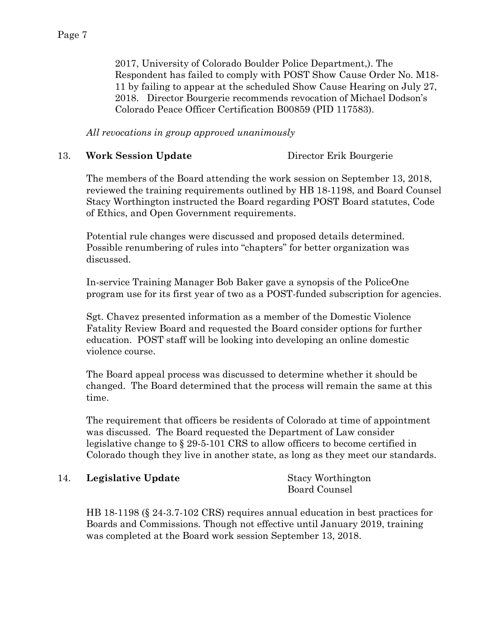2017, University of Colorado Boulder Police Department,). The Respondent has failed to comply with POST Show Cause Order No. M18- 11 by failing to appear at the scheduled Show Cause Hearing on July 27, 2018. Director Bourgerie recommends revocation of Michael Dodson's Colorado Peace Officer Certification B00859 (PID 117583).

*All revocations in group approved unanimously*

### 13. **Work Session Update** Director Erik Bourgerie

The members of the Board attending the work session on September 13, 2018, reviewed the training requirements outlined by HB 18-1198, and Board Counsel Stacy Worthington instructed the Board regarding POST Board statutes, Code of Ethics, and Open Government requirements.

Potential rule changes were discussed and proposed details determined. Possible renumbering of rules into "chapters" for better organization was discussed.

In-service Training Manager Bob Baker gave a synopsis of the PoliceOne program use for its first year of two as a POST-funded subscription for agencies.

Sgt. Chavez presented information as a member of the Domestic Violence Fatality Review Board and requested the Board consider options for further education. POST staff will be looking into developing an online domestic violence course.

The Board appeal process was discussed to determine whether it should be changed. The Board determined that the process will remain the same at this time.

The requirement that officers be residents of Colorado at time of appointment was discussed. The Board requested the Department of Law consider legislative change to § 29-5-101 CRS to allow officers to become certified in Colorado though they live in another state, as long as they meet our standards.

### 14. **Legislative Update** Stacy Worthington

Board Counsel

HB 18-1198 (§ 24-3.7-102 CRS) requires annual education in best practices for Boards and Commissions. Though not effective until January 2019, training was completed at the Board work session September 13, 2018.